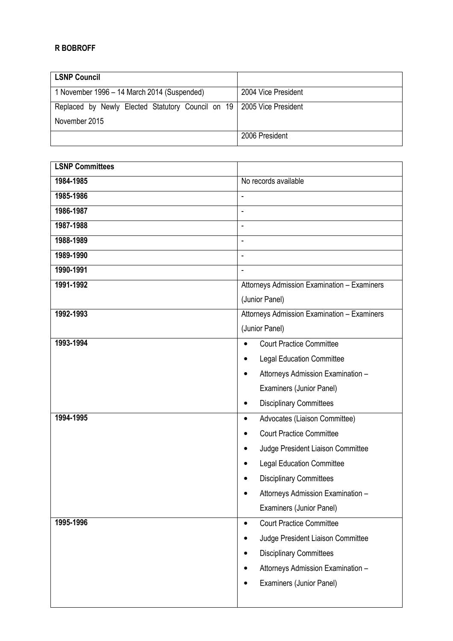## R BOBROFF

| <b>LSNP Council</b>                                                     |                     |
|-------------------------------------------------------------------------|---------------------|
| 1 November 1996 – 14 March 2014 (Suspended)                             | 2004 Vice President |
| Replaced by Newly Elected Statutory Council on 19   2005 Vice President |                     |
| November 2015                                                           |                     |
|                                                                         | 2006 President      |

| <b>LSNP Committees</b> |                                                |
|------------------------|------------------------------------------------|
| 1984-1985              | No records available                           |
| 1985-1986              |                                                |
| 1986-1987              |                                                |
| 1987-1988              | $\overline{\phantom{a}}$                       |
| 1988-1989              | ÷,                                             |
| 1989-1990              |                                                |
| 1990-1991              | $\overline{\phantom{a}}$                       |
| 1991-1992              | Attorneys Admission Examination - Examiners    |
|                        | (Junior Panel)                                 |
| 1992-1993              | Attorneys Admission Examination - Examiners    |
|                        | (Junior Panel)                                 |
| 1993-1994              | <b>Court Practice Committee</b><br>$\bullet$   |
|                        | <b>Legal Education Committee</b><br>$\bullet$  |
|                        | Attorneys Admission Examination -<br>$\bullet$ |
|                        | Examiners (Junior Panel)                       |
|                        | <b>Disciplinary Committees</b><br>$\bullet$    |
| 1994-1995              | Advocates (Liaison Committee)<br>$\bullet$     |
|                        | <b>Court Practice Committee</b>                |
|                        | Judge President Liaison Committee              |
|                        | <b>Legal Education Committee</b>               |
|                        | <b>Disciplinary Committees</b>                 |
|                        | Attorneys Admission Examination -              |
|                        | Examiners (Junior Panel)                       |
| 1995-1996              | <b>Court Practice Committee</b><br>$\bullet$   |
|                        | Judge President Liaison Committee<br>$\bullet$ |
|                        | <b>Disciplinary Committees</b>                 |
|                        | Attorneys Admission Examination -              |
|                        | Examiners (Junior Panel)                       |
|                        |                                                |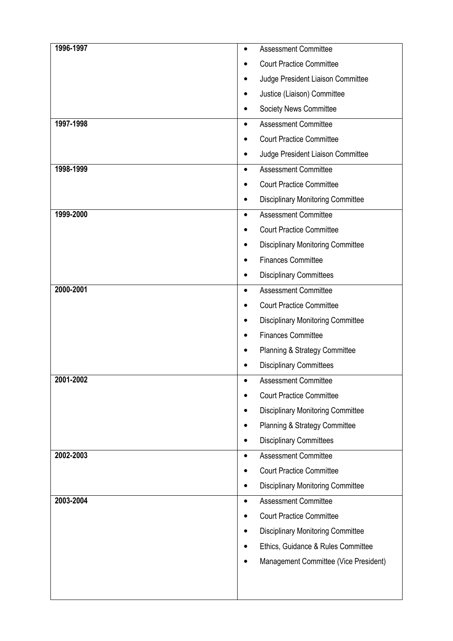| 1996-1997 | $\bullet$ | <b>Assessment Committee</b>              |
|-----------|-----------|------------------------------------------|
|           |           | <b>Court Practice Committee</b>          |
|           |           | Judge President Liaison Committee        |
|           |           | Justice (Liaison) Committee              |
|           |           | Society News Committee                   |
| 1997-1998 | ٠         | <b>Assessment Committee</b>              |
|           |           | <b>Court Practice Committee</b>          |
|           |           | Judge President Liaison Committee        |
| 1998-1999 | $\bullet$ | <b>Assessment Committee</b>              |
|           |           | <b>Court Practice Committee</b>          |
|           |           | <b>Disciplinary Monitoring Committee</b> |
| 1999-2000 | $\bullet$ | <b>Assessment Committee</b>              |
|           |           | <b>Court Practice Committee</b>          |
|           | ٠         | <b>Disciplinary Monitoring Committee</b> |
|           |           | <b>Finances Committee</b>                |
|           |           | <b>Disciplinary Committees</b>           |
| 2000-2001 | $\bullet$ | <b>Assessment Committee</b>              |
|           |           | <b>Court Practice Committee</b>          |
|           |           | <b>Disciplinary Monitoring Committee</b> |
|           |           | <b>Finances Committee</b>                |
|           |           | Planning & Strategy Committee            |
|           |           | <b>Disciplinary Committees</b>           |
| 2001-2002 |           | <b>Assessment Committee</b>              |
|           |           | <b>Court Practice Committee</b>          |
|           |           | <b>Disciplinary Monitoring Committee</b> |
|           |           | Planning & Strategy Committee            |
|           |           | <b>Disciplinary Committees</b>           |
| 2002-2003 | $\bullet$ | <b>Assessment Committee</b>              |
|           |           | <b>Court Practice Committee</b>          |
|           |           | <b>Disciplinary Monitoring Committee</b> |
| 2003-2004 | $\bullet$ | <b>Assessment Committee</b>              |
|           |           | <b>Court Practice Committee</b>          |
|           |           | <b>Disciplinary Monitoring Committee</b> |
|           |           | Ethics, Guidance & Rules Committee       |
|           |           | Management Committee (Vice President)    |
|           |           |                                          |
|           |           |                                          |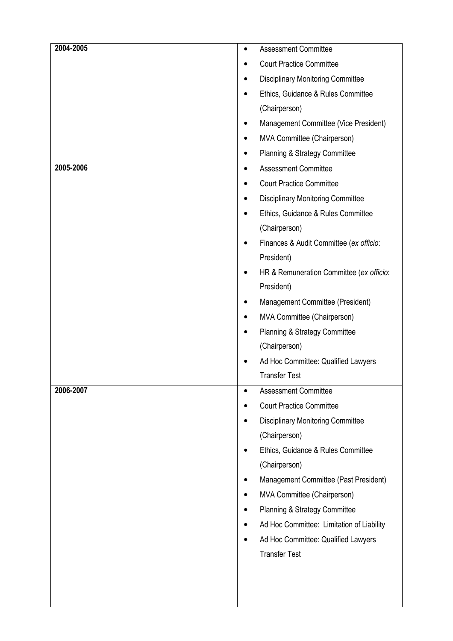| 2004-2005 | <b>Assessment Committee</b><br>$\bullet$  |  |
|-----------|-------------------------------------------|--|
|           | <b>Court Practice Committee</b>           |  |
|           | <b>Disciplinary Monitoring Committee</b>  |  |
|           | Ethics, Guidance & Rules Committee        |  |
|           | (Chairperson)                             |  |
|           | Management Committee (Vice President)     |  |
|           | MVA Committee (Chairperson)               |  |
|           | Planning & Strategy Committee<br>٠        |  |
| 2005-2006 | <b>Assessment Committee</b><br>$\bullet$  |  |
|           | <b>Court Practice Committee</b>           |  |
|           | <b>Disciplinary Monitoring Committee</b>  |  |
|           | Ethics, Guidance & Rules Committee        |  |
|           | (Chairperson)                             |  |
|           | Finances & Audit Committee (ex officio:   |  |
|           | President)                                |  |
|           | HR & Remuneration Committee (ex officio:  |  |
|           | President)                                |  |
|           | Management Committee (President)          |  |
|           | MVA Committee (Chairperson)               |  |
|           | Planning & Strategy Committee             |  |
|           | (Chairperson)                             |  |
|           | Ad Hoc Committee: Qualified Lawyers       |  |
|           | <b>Transfer Test</b>                      |  |
| 2006-2007 | <b>Assessment Committee</b><br>$\bullet$  |  |
|           | <b>Court Practice Committee</b>           |  |
|           | <b>Disciplinary Monitoring Committee</b>  |  |
|           | (Chairperson)                             |  |
|           | Ethics, Guidance & Rules Committee        |  |
|           | (Chairperson)                             |  |
|           | Management Committee (Past President)     |  |
|           | MVA Committee (Chairperson)               |  |
|           | Planning & Strategy Committee<br>٠        |  |
|           | Ad Hoc Committee: Limitation of Liability |  |
|           | Ad Hoc Committee: Qualified Lawyers       |  |
|           | <b>Transfer Test</b>                      |  |
|           |                                           |  |
|           |                                           |  |
|           |                                           |  |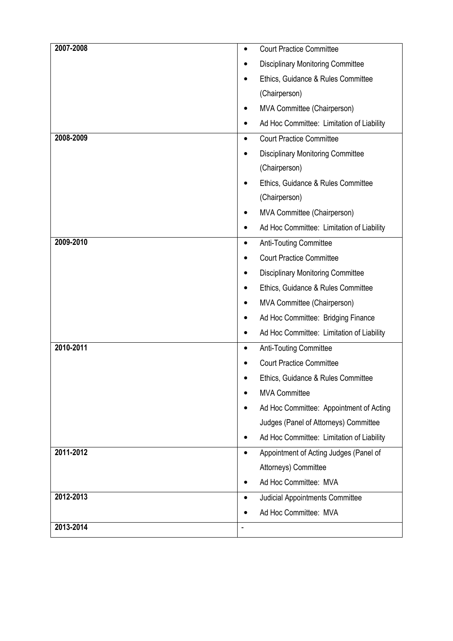| 2007-2008 |                | <b>Court Practice Committee</b>           |
|-----------|----------------|-------------------------------------------|
|           |                | <b>Disciplinary Monitoring Committee</b>  |
|           |                | Ethics, Guidance & Rules Committee        |
|           |                | (Chairperson)                             |
|           |                | MVA Committee (Chairperson)               |
|           |                | Ad Hoc Committee: Limitation of Liability |
| 2008-2009 | $\bullet$      | <b>Court Practice Committee</b>           |
|           |                | <b>Disciplinary Monitoring Committee</b>  |
|           |                | (Chairperson)                             |
|           |                | Ethics, Guidance & Rules Committee        |
|           |                | (Chairperson)                             |
|           |                | MVA Committee (Chairperson)               |
|           | ٠              | Ad Hoc Committee: Limitation of Liability |
| 2009-2010 | $\bullet$      | <b>Anti-Touting Committee</b>             |
|           |                | <b>Court Practice Committee</b>           |
|           |                | <b>Disciplinary Monitoring Committee</b>  |
|           |                | Ethics, Guidance & Rules Committee        |
|           | ٠              | MVA Committee (Chairperson)               |
|           |                | Ad Hoc Committee: Bridging Finance        |
|           |                | Ad Hoc Committee: Limitation of Liability |
| 2010-2011 | ٠              | Anti-Touting Committee                    |
|           |                | <b>Court Practice Committee</b>           |
|           |                | Ethics, Guidance & Rules Committee        |
|           |                | <b>MVA Committee</b>                      |
|           |                | Ad Hoc Committee: Appointment of Acting   |
|           |                | Judges (Panel of Attorneys) Committee     |
|           |                | Ad Hoc Committee: Limitation of Liability |
| 2011-2012 | ٠              | Appointment of Acting Judges (Panel of    |
|           |                | Attorneys) Committee                      |
|           |                | Ad Hoc Committee: MVA                     |
| 2012-2013 |                | Judicial Appointments Committee           |
|           |                | Ad Hoc Committee: MVA                     |
| 2013-2014 | $\blacksquare$ |                                           |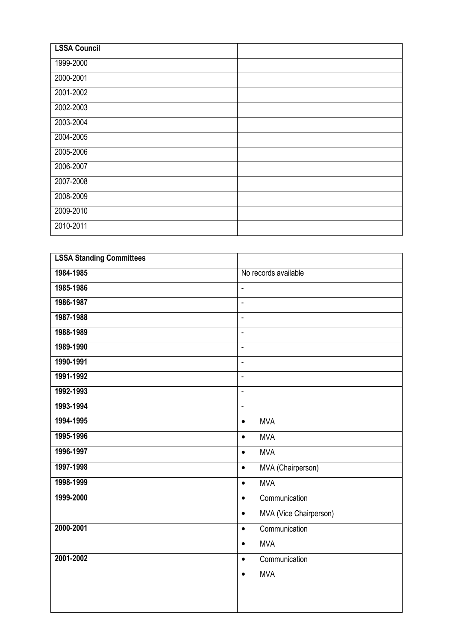| <b>LSSA Council</b> |  |
|---------------------|--|
| 1999-2000           |  |
| 2000-2001           |  |
| 2001-2002           |  |
| 2002-2003           |  |
| 2003-2004           |  |
| 2004-2005           |  |
| 2005-2006           |  |
| 2006-2007           |  |
| 2007-2008           |  |
| 2008-2009           |  |
| 2009-2010           |  |
| 2010-2011           |  |

| <b>LSSA Standing Committees</b> |                                     |
|---------------------------------|-------------------------------------|
| 1984-1985                       | No records available                |
| 1985-1986                       | ÷,                                  |
| 1986-1987                       | $\overline{\phantom{a}}$            |
| 1987-1988                       | L.                                  |
| 1988-1989                       | ÷,                                  |
| 1989-1990                       | ÷,                                  |
| 1990-1991                       | ä,                                  |
| 1991-1992                       | ä,                                  |
| 1992-1993                       | ÷,                                  |
| 1993-1994                       | ÷,                                  |
| 1994-1995                       | <b>MVA</b><br>$\bullet$             |
| 1995-1996                       | <b>MVA</b><br>$\bullet$             |
| 1996-1997                       | <b>MVA</b><br>$\bullet$             |
| 1997-1998                       | MVA (Chairperson)<br>$\bullet$      |
| 1998-1999                       | <b>MVA</b><br>$\bullet$             |
| 1999-2000                       | Communication<br>$\bullet$          |
|                                 | MVA (Vice Chairperson)<br>$\bullet$ |
| 2000-2001                       | Communication<br>$\bullet$          |
|                                 | <b>MVA</b><br>$\bullet$             |
| 2001-2002                       | Communication<br>$\bullet$          |
|                                 | <b>MVA</b><br>$\bullet$             |
|                                 |                                     |
|                                 |                                     |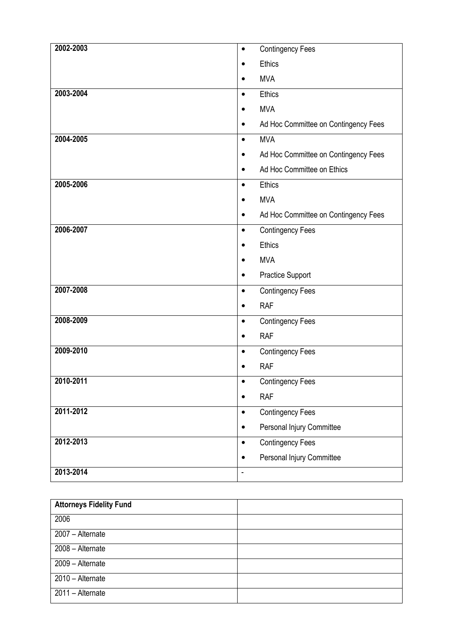| 2002-2003 | <b>Contingency Fees</b><br>$\bullet$   |
|-----------|----------------------------------------|
|           | <b>Ethics</b>                          |
|           | <b>MVA</b>                             |
| 2003-2004 | <b>Ethics</b><br>$\bullet$             |
|           | <b>MVA</b>                             |
|           | Ad Hoc Committee on Contingency Fees   |
| 2004-2005 | <b>MVA</b><br>$\bullet$                |
|           | Ad Hoc Committee on Contingency Fees   |
|           | Ad Hoc Committee on Ethics             |
| 2005-2006 | Ethics<br>$\bullet$                    |
|           | <b>MVA</b>                             |
|           | Ad Hoc Committee on Contingency Fees   |
| 2006-2007 | <b>Contingency Fees</b><br>$\bullet$   |
|           | <b>Ethics</b>                          |
|           | <b>MVA</b>                             |
|           | <b>Practice Support</b>                |
| 2007-2008 | <b>Contingency Fees</b><br>$\bullet$   |
|           | <b>RAF</b>                             |
| 2008-2009 | <b>Contingency Fees</b><br>$\bullet$   |
|           | <b>RAF</b><br>$\bullet$                |
| 2009-2010 | <b>Contingency Fees</b><br>$\bullet$   |
|           | <b>RAF</b>                             |
| 2010-2011 | <b>Contingency Fees</b>                |
|           | <b>RAF</b><br>$\bullet$                |
| 2011-2012 | <b>Contingency Fees</b><br>$\bullet$   |
|           | Personal Injury Committee<br>$\bullet$ |
| 2012-2013 | <b>Contingency Fees</b><br>$\bullet$   |
|           | Personal Injury Committee              |
| 2013-2014 | $\blacksquare$                         |

| <b>Attorneys Fidelity Fund</b> |  |
|--------------------------------|--|
| 2006                           |  |
| 2007 - Alternate               |  |
| 2008 - Alternate               |  |
| 2009 - Alternate               |  |
| 2010 - Alternate               |  |
| 2011 - Alternate               |  |